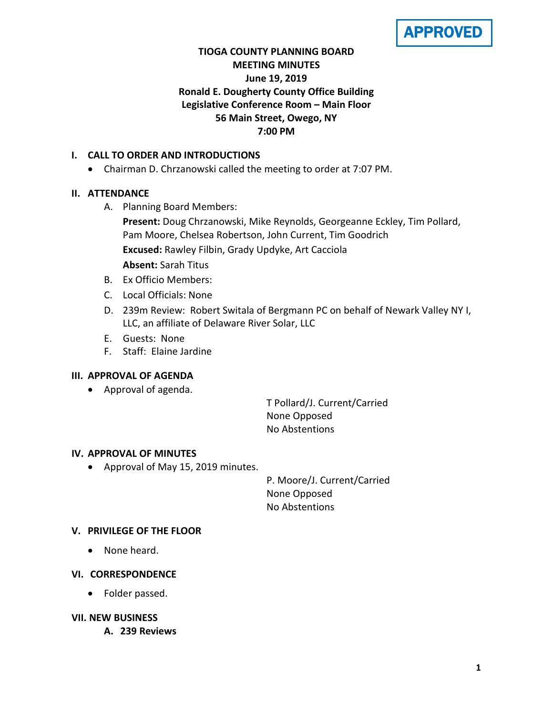APPROVED

# **TIOGA COUNTY PLANNING BOARD MEETING MINUTES June 19, 2019 Ronald E. Dougherty County Office Building Legislative Conference Room – Main Floor 56 Main Street, Owego, NY 7:00 PM**

# **I. CALL TO ORDER AND INTRODUCTIONS**

• Chairman D. Chrzanowski called the meeting to order at 7:07 PM.

# **II. ATTENDANCE**

A. Planning Board Members:

**Present:** Doug Chrzanowski, Mike Reynolds, Georgeanne Eckley, Tim Pollard, Pam Moore, Chelsea Robertson, John Current, Tim Goodrich **Excused:** Rawley Filbin, Grady Updyke, Art Cacciola

**Absent:** Sarah Titus

- B. Ex Officio Members:
- C. Local Officials: None
- D. 239m Review: Robert Switala of Bergmann PC on behalf of Newark Valley NY I, LLC, an affiliate of Delaware River Solar, LLC
- E. Guests: None
- F. Staff: Elaine Jardine

# **III. APPROVAL OF AGENDA**

• Approval of agenda.

T Pollard/J. Current/Carried None Opposed No Abstentions

# **IV. APPROVAL OF MINUTES**

• Approval of May 15, 2019 minutes.

P. Moore/J. Current/Carried None Opposed No Abstentions

# **V. PRIVILEGE OF THE FLOOR**

• None heard.

# **VI. CORRESPONDENCE**

• Folder passed.

# **VII. NEW BUSINESS**

**A. 239 Reviews**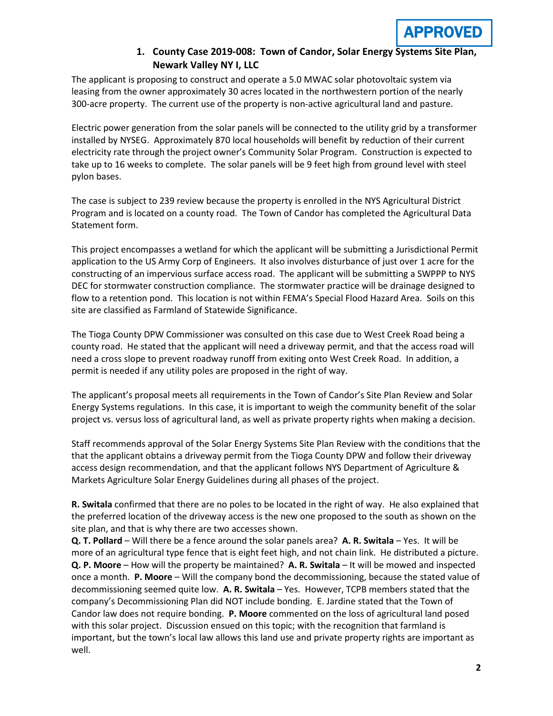

# **1. County Case 2019-008: Town of Candor, Solar Energy Systems Site Plan, Newark Valley NY I, LLC**

The applicant is proposing to construct and operate a 5.0 MWAC solar photovoltaic system via leasing from the owner approximately 30 acres located in the northwestern portion of the nearly 300-acre property. The current use of the property is non-active agricultural land and pasture.

Electric power generation from the solar panels will be connected to the utility grid by a transformer installed by NYSEG. Approximately 870 local households will benefit by reduction of their current electricity rate through the project owner's Community Solar Program. Construction is expected to take up to 16 weeks to complete. The solar panels will be 9 feet high from ground level with steel pylon bases.

The case is subject to 239 review because the property is enrolled in the NYS Agricultural District Program and is located on a county road. The Town of Candor has completed the Agricultural Data Statement form.

This project encompasses a wetland for which the applicant will be submitting a Jurisdictional Permit application to the US Army Corp of Engineers. It also involves disturbance of just over 1 acre for the constructing of an impervious surface access road. The applicant will be submitting a SWPPP to NYS DEC for stormwater construction compliance. The stormwater practice will be drainage designed to flow to a retention pond. This location is not within FEMA's Special Flood Hazard Area. Soils on this site are classified as Farmland of Statewide Significance.

The Tioga County DPW Commissioner was consulted on this case due to West Creek Road being a county road. He stated that the applicant will need a driveway permit, and that the access road will need a cross slope to prevent roadway runoff from exiting onto West Creek Road. In addition, a permit is needed if any utility poles are proposed in the right of way.

The applicant's proposal meets all requirements in the Town of Candor's Site Plan Review and Solar Energy Systems regulations. In this case, it is important to weigh the community benefit of the solar project vs. versus loss of agricultural land, as well as private property rights when making a decision.

Staff recommends approval of the Solar Energy Systems Site Plan Review with the conditions that the that the applicant obtains a driveway permit from the Tioga County DPW and follow their driveway access design recommendation, and that the applicant follows NYS Department of Agriculture & Markets Agriculture Solar Energy Guidelines during all phases of the project.

**R. Switala** confirmed that there are no poles to be located in the right of way. He also explained that the preferred location of the driveway access is the new one proposed to the south as shown on the site plan, and that is why there are two accesses shown.

**Q. T. Pollard** – Will there be a fence around the solar panels area? **A. R. Switala** – Yes. It will be more of an agricultural type fence that is eight feet high, and not chain link. He distributed a picture. **Q. P. Moore** – How will the property be maintained? **A. R. Switala** – It will be mowed and inspected once a month. **P. Moore** – Will the company bond the decommissioning, because the stated value of decommissioning seemed quite low. **A. R. Switala** – Yes. However, TCPB members stated that the company's Decommissioning Plan did NOT include bonding. E. Jardine stated that the Town of Candor law does not require bonding. **P. Moore** commented on the loss of agricultural land posed with this solar project. Discussion ensued on this topic; with the recognition that farmland is important, but the town's local law allows this land use and private property rights are important as well.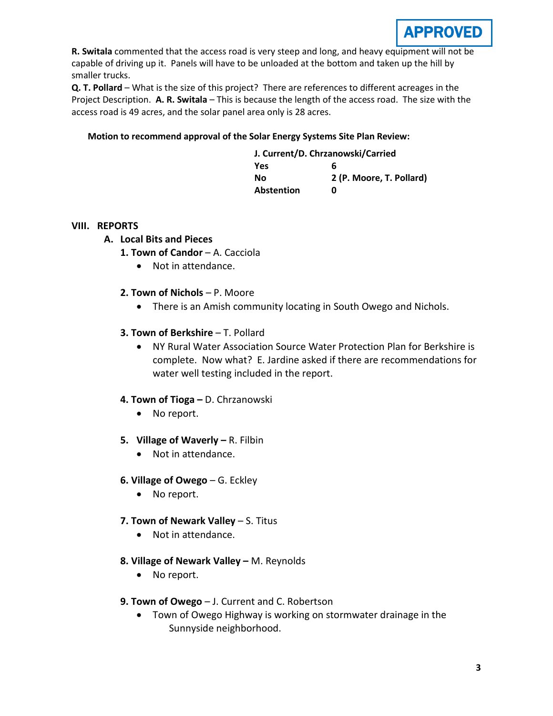

**R. Switala** commented that the access road is very steep and long, and heavy equipment will not be capable of driving up it. Panels will have to be unloaded at the bottom and taken up the hill by smaller trucks.

**Q. T. Pollard** – What is the size of this project? There are references to different acreages in the Project Description. **A. R. Switala** – This is because the length of the access road. The size with the access road is 49 acres, and the solar panel area only is 28 acres.

#### **Motion to recommend approval of the Solar Energy Systems Site Plan Review:**

| J. Current/D. Chrzanowski/Carried |                          |
|-----------------------------------|--------------------------|
| Yes                               | 6                        |
| Nο                                | 2 (P. Moore, T. Pollard) |
| <b>Abstention</b>                 | n                        |

#### **VIII. REPORTS**

- **A. Local Bits and Pieces**
	- **1. Town of Candor**  A. Cacciola
		- Not in attendance.
	- **2. Town of Nichols**  P. Moore
		- There is an Amish community locating in South Owego and Nichols.

#### **3. Town of Berkshire** – T. Pollard

• NY Rural Water Association Source Water Protection Plan for Berkshire is complete. Now what? E. Jardine asked if there are recommendations for water well testing included in the report.

# **4. Town of Tioga –** D. Chrzanowski

- No report.
- **5. Village of Waverly –** R. Filbin
	- Not in attendance.
- **6. Village of Owego** G. Eckley
	- No report.
- **7. Town of Newark Valley** S. Titus
	- Not in attendance.
- **8. Village of Newark Valley –** M. Reynolds
	- No report.
- **9. Town of Owego** J. Current and C. Robertson
	- Town of Owego Highway is working on stormwater drainage in the Sunnyside neighborhood.